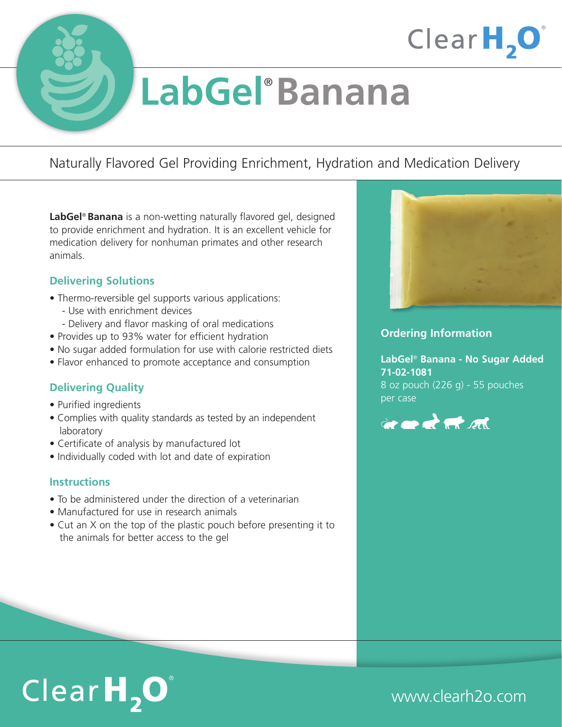



# **LabGel**® **Banana**

### Naturally Flavored Gel Providing Enrichment, Hydration and Medication Delivery

**LabGel**® **Banana** is a non-wetting naturally flavored gel, designed to provide enrichment and hydration. It is an excellent vehicle for medication delivery for nonhuman primates and other research animals.

#### **Delivering Solutions**

- Thermo-reversible gel supports various applications:
	- Use with enrichment devices
	- Delivery and flavor masking of oral medications
- Provides up to 93% water for efficient hydration
- No sugar added formulation for use with calorie restricted diets
- Flavor enhanced to promote acceptance and consumption

#### **Delivering Quality**

- Purified ingredients
- Complies with quality standards as tested by an independent laboratory
- Certificate of analysis by manufactured lot
- Individually coded with lot and date of expiration

#### **Instructions**

- To be administered under the direction of a veterinarian
- Manufactured for use in research animals
- Cut an X on the top of the plastic pouch before presenting it to the animals for better access to the gel



#### **Ordering Information**

**LabGel**® **Banana - No Sugar Added 71-02-1081** 8 oz pouch (226 g) - 55 pouches per case





www.clearh2o.com